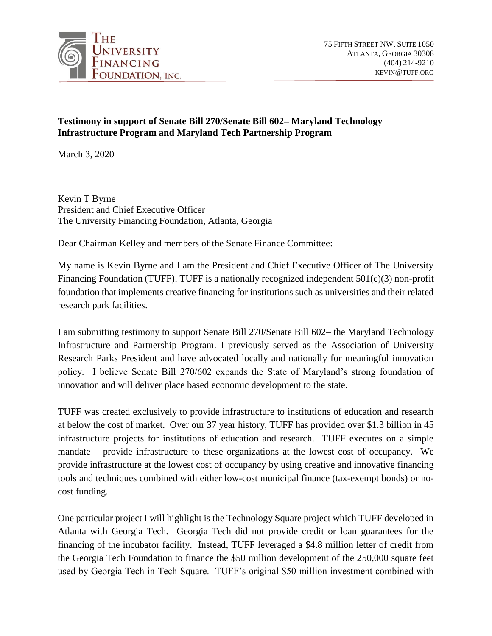

## **Testimony in support of Senate Bill 270/Senate Bill 602– Maryland Technology Infrastructure Program and Maryland Tech Partnership Program**

March 3, 2020

Kevin T Byrne President and Chief Executive Officer The University Financing Foundation, Atlanta, Georgia

Dear Chairman Kelley and members of the Senate Finance Committee:

My name is Kevin Byrne and I am the President and Chief Executive Officer of The University Financing Foundation (TUFF). TUFF is a nationally recognized independent 501(c)(3) non-profit foundation that implements creative financing for institutions such as universities and their related research park facilities.

I am submitting testimony to support Senate Bill 270/Senate Bill 602– the Maryland Technology Infrastructure and Partnership Program. I previously served as the Association of University Research Parks President and have advocated locally and nationally for meaningful innovation policy. I believe Senate Bill 270/602 expands the State of Maryland's strong foundation of innovation and will deliver place based economic development to the state.

TUFF was created exclusively to provide infrastructure to institutions of education and research at below the cost of market. Over our 37 year history, TUFF has provided over \$1.3 billion in 45 infrastructure projects for institutions of education and research. TUFF executes on a simple mandate – provide infrastructure to these organizations at the lowest cost of occupancy. We provide infrastructure at the lowest cost of occupancy by using creative and innovative financing tools and techniques combined with either low-cost municipal finance (tax-exempt bonds) or nocost funding.

One particular project I will highlight is the Technology Square project which TUFF developed in Atlanta with Georgia Tech. Georgia Tech did not provide credit or loan guarantees for the financing of the incubator facility. Instead, TUFF leveraged a \$4.8 million letter of credit from the Georgia Tech Foundation to finance the \$50 million development of the 250,000 square feet used by Georgia Tech in Tech Square. TUFF's original \$50 million investment combined with